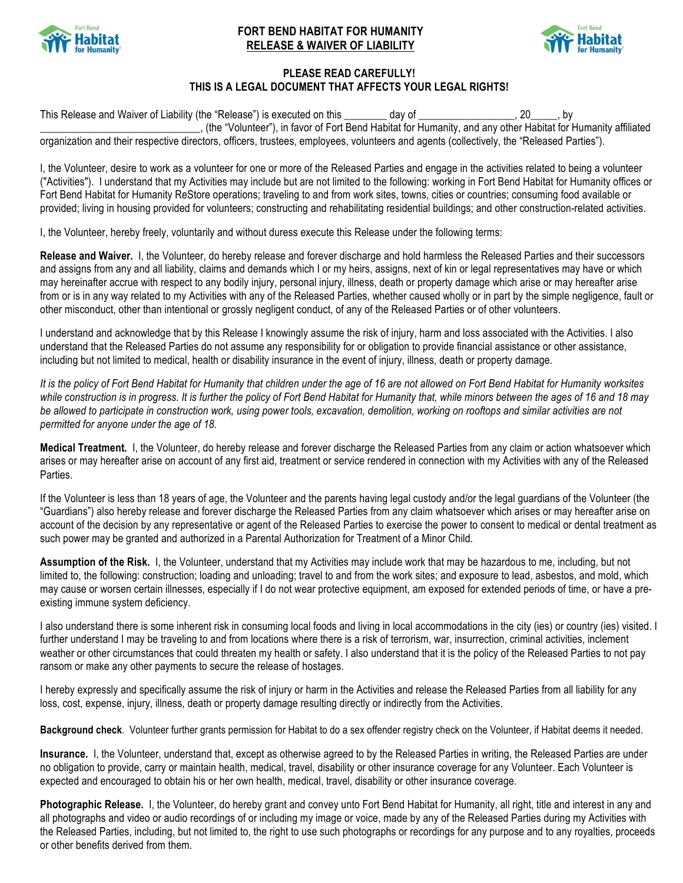

## **FORT BEND HABITAT FOR HUMANITY RELEASE & WAIVER OF LIABILITY**



## **PLEASE READ CAREFULLY! THIS IS A LEGAL DOCUMENT THAT AFFECTS YOUR LEGAL RIGHTS!**

This Release and Waiver of Liability (the "Release") is executed on this \_\_\_\_\_\_\_ day of \_\_\_\_\_\_\_\_\_\_\_\_\_\_\_\_, 20\_\_\_\_\_, by \_\_\_\_\_\_\_\_\_\_\_\_\_\_\_\_\_\_\_\_\_\_\_\_\_\_\_\_\_\_, (the "Volunteer"), in favor of Fort Bend Habitat for Humanity, and any other Habitat for Humanity affiliated organization and their respective directors, officers, trustees, employees, volunteers and agents (collectively, the "Released Parties").

I, the Volunteer, desire to work as a volunteer for one or more of the Released Parties and engage in the activities related to being a volunteer ("Activities"). I understand that my Activities may include but are not limited to the following: working in Fort Bend Habitat for Humanity offices or Fort Bend Habitat for Humanity ReStore operations; traveling to and from work sites, towns, cities or countries; consuming food available or provided; living in housing provided for volunteers; constructing and rehabilitating residential buildings; and other construction-related activities.

I, the Volunteer, hereby freely, voluntarily and without duress execute this Release under the following terms:

**Release and Waiver.** I, the Volunteer, do hereby release and forever discharge and hold harmless the Released Parties and their successors and assigns from any and all liability, claims and demands which I or my heirs, assigns, next of kin or legal representatives may have or which may hereinafter accrue with respect to any bodily injury, personal injury, illness, death or property damage which arise or may hereafter arise from or is in any way related to my Activities with any of the Released Parties, whether caused wholly or in part by the simple negligence, fault or other misconduct, other than intentional or grossly negligent conduct, of any of the Released Parties or of other volunteers.

I understand and acknowledge that by this Release I knowingly assume the risk of injury, harm and loss associated with the Activities. I also understand that the Released Parties do not assume any responsibility for or obligation to provide financial assistance or other assistance, including but not limited to medical, health or disability insurance in the event of injury, illness, death or property damage.

*It is the policy of Fort Bend Habitat for Humanity that children under the age of 16 are not allowed on Fort Bend Habitat for Humanity worksites*  while construction is in progress. It is further the policy of Fort Bend Habitat for Humanity that, while minors between the ages of 16 and 18 may *be allowed to participate in construction work, using power tools, excavation, demolition, working on rooftops and similar activities are not permitted for anyone under the age of 18.*

**Medical Treatment.** I, the Volunteer, do hereby release and forever discharge the Released Parties from any claim or action whatsoever which arises or may hereafter arise on account of any first aid, treatment or service rendered in connection with my Activities with any of the Released **Parties** 

If the Volunteer is less than 18 years of age, the Volunteer and the parents having legal custody and/or the legal guardians of the Volunteer (the "Guardians") also hereby release and forever discharge the Released Parties from any claim whatsoever which arises or may hereafter arise on account of the decision by any representative or agent of the Released Parties to exercise the power to consent to medical or dental treatment as such power may be granted and authorized in a Parental Authorization for Treatment of a Minor Child.

**Assumption of the Risk.** I, the Volunteer, understand that my Activities may include work that may be hazardous to me, including, but not limited to, the following: construction; loading and unloading; travel to and from the work sites; and exposure to lead, asbestos, and mold, which may cause or worsen certain illnesses, especially if I do not wear protective equipment, am exposed for extended periods of time, or have a preexisting immune system deficiency.

I also understand there is some inherent risk in consuming local foods and living in local accommodations in the city (ies) or country (ies) visited. I further understand I may be traveling to and from locations where there is a risk of terrorism, war, insurrection, criminal activities, inclement weather or other circumstances that could threaten my health or safety. I also understand that it is the policy of the Released Parties to not pay ransom or make any other payments to secure the release of hostages.

I hereby expressly and specifically assume the risk of injury or harm in the Activities and release the Released Parties from all liability for any loss, cost, expense, injury, illness, death or property damage resulting directly or indirectly from the Activities.

**Background check**. Volunteer further grants permission for Habitat to do a sex offender registry check on the Volunteer, if Habitat deems it needed.

Insurance. I, the Volunteer, understand that, except as otherwise agreed to by the Released Parties in writing, the Released Parties are under no obligation to provide, carry or maintain health, medical, travel, disability or other insurance coverage for any Volunteer. Each Volunteer is expected and encouraged to obtain his or her own health, medical, travel, disability or other insurance coverage.

**Photographic Release.** I, the Volunteer, do hereby grant and convey unto Fort Bend Habitat for Humanity, all right, title and interest in any and all photographs and video or audio recordings of or including my image or voice, made by any of the Released Parties during my Activities with the Released Parties, including, but not limited to, the right to use such photographs or recordings for any purpose and to any royalties, proceeds or other benefits derived from them.